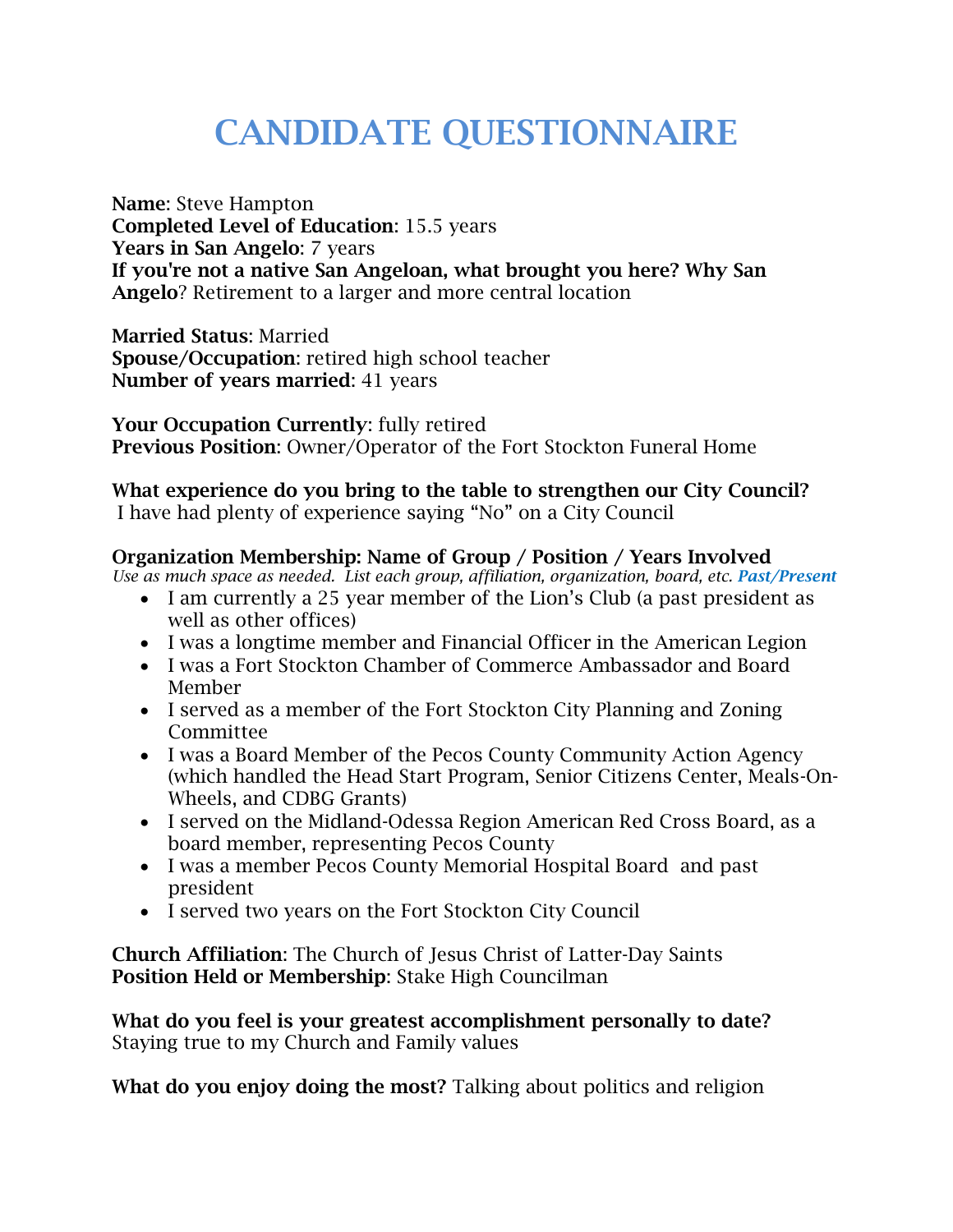# **CANDIDATE QUESTIONNAIRE**

**Name**: Steve Hampton **Completed Level of Education**: 15.5 years **Years in San Angelo**: 7 years **If you're not a native San Angeloan, what brought you here? Why San Angelo**? Retirement to a larger and more central location

**Married Status**: Married **Spouse/Occupation**: retired high school teacher **Number of years married**: 41 years

**Your Occupation Currently**: fully retired **Previous Position**: Owner/Operator of the Fort Stockton Funeral Home

## **What experience do you bring to the table to strengthen our City Council?**

I have had plenty of experience saying "No" on a City Council

#### **Organization Membership: Name of Group / Position / Years Involved**

*Use as much space as needed. List each group, affiliation, organization, board, etc. Past/Present*

- I am currently a 25 year member of the Lion's Club (a past president as well as other offices)
- I was a longtime member and Financial Officer in the American Legion
- I was a Fort Stockton Chamber of Commerce Ambassador and Board Member
- I served as a member of the Fort Stockton City Planning and Zoning Committee
- I was a Board Member of the Pecos County Community Action Agency (which handled the Head Start Program, Senior Citizens Center, Meals-On-Wheels, and CDBG Grants)
- I served on the Midland-Odessa Region American Red Cross Board, as a board member, representing Pecos County
- I was a member Pecos County Memorial Hospital Board and past president
- I served two years on the Fort Stockton City Council

**Church Affiliation**: The Church of Jesus Christ of Latter-Day Saints **Position Held or Membership**: Stake High Councilman

**What do you feel is your greatest accomplishment personally to date?** Staying true to my Church and Family values

**What do you enjoy doing the most?** Talking about politics and religion